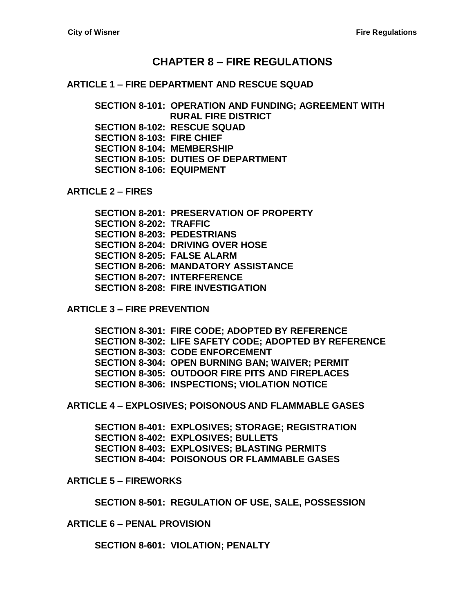## **CHAPTER 8 – [FIRE REGULATIONS](#page-2-0)**

**ARTICLE 1 – [FIRE DEPARTMENT AND RESCUE SQUAD](#page-2-1)**

**[SECTION 8-101: OPERATION AND FUNDING; AGREEMENT WITH](#page-2-2)  [RURAL FIRE DISTRICT](#page-2-2) [SECTION 8-102: RESCUE SQUAD](#page-2-3) [SECTION 8-103: FIRE CHIEF](#page-2-4) [SECTION 8-104: MEMBERSHIP](#page-3-0) [SECTION 8-105: DUTIES OF DEPARTMENT](#page-4-0) [SECTION 8-106: EQUIPMENT](#page-4-1)**

**[ARTICLE 2 –](#page-6-0) FIRES**

**[SECTION 8-201: PRESERVATION OF PROPERTY](#page-6-1) [SECTION 8-202: TRAFFIC](#page-6-2) [SECTION 8-203: PEDESTRIANS](#page-6-3) [SECTION 8-204: DRIVING OVER HOSE](#page-6-4) [SECTION 8-205: FALSE ALARM](#page-6-5) [SECTION 8-206: MANDATORY ASSISTANCE](#page-6-6) [SECTION 8-207: INTERFERENCE](#page-6-7) [SECTION 8-208: FIRE INVESTIGATION](#page-7-0)**

**ARTICLE 3 – [FIRE PREVENTION](#page-8-0)**

**[SECTION 8-301: FIRE CODE; ADOPTED BY REFERENCE](#page-8-1) [SECTION 8-302: LIFE SAFETY CODE; ADOPTED BY REFERENCE](#page-8-2) [SECTION 8-303: CODE ENFORCEMENT](#page-8-3) [SECTION 8-304: OPEN BURNING BAN; WAIVER; PERMIT](#page-8-4) [SECTION 8-305: OUTDOOR FIRE PITS AND FIREPLACES](#page-9-0) [SECTION 8-306: INSPECTIONS; VIOLATION NOTICE](#page-10-0)**

**ARTICLE 4 – [EXPLOSIVES; POISONOUS](#page-12-0) [AND FLAMMABLE GASES](#page-12-1)**

**[SECTION 8-401: EXPLOSIVES; STORAGE; REGISTRATION](#page-12-2) [SECTION 8-402: EXPLOSIVES; BULLETS](#page-12-3) [SECTION 8-403: EXPLOSIVES; BLASTING PERMITS](#page-12-4) [SECTION 8-404: POISONOUS OR FLAMMABLE GASES](#page-12-5)**

**ARTICLE 5 – [FIREWORKS](#page-14-0)**

**[SECTION 8-501: REGULATION OF USE, SALE, POSSESSION](#page-14-1)**

**ARTICLE 6 – [PENAL PROVISION](#page-16-0)**

**[SECTION 8-601: VIOLATION; PENALTY](#page-16-1)**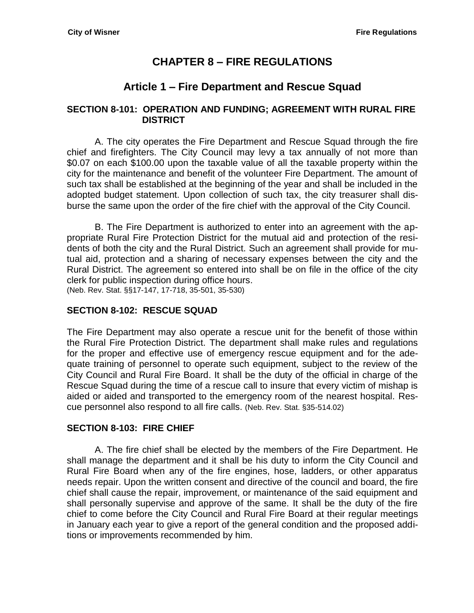# **CHAPTER 8 – FIRE REGULATIONS**

# **Article 1 – Fire Department and Rescue Squad**

### <span id="page-2-2"></span><span id="page-2-1"></span><span id="page-2-0"></span>**SECTION 8-101: OPERATION AND FUNDING; AGREEMENT WITH RURAL FIRE DISTRICT**

A. The city operates the Fire Department and Rescue Squad through the fire chief and firefighters. The City Council may levy a tax annually of not more than \$0.07 on each \$100.00 upon the taxable value of all the taxable property within the city for the maintenance and benefit of the volunteer Fire Department. The amount of such tax shall be established at the beginning of the year and shall be included in the adopted budget statement. Upon collection of such tax, the city treasurer shall disburse the same upon the order of the fire chief with the approval of the City Council.

B. The Fire Department is authorized to enter into an agreement with the appropriate Rural Fire Protection District for the mutual aid and protection of the residents of both the city and the Rural District. Such an agreement shall provide for mutual aid, protection and a sharing of necessary expenses between the city and the Rural District. The agreement so entered into shall be on file in the office of the city clerk for public inspection during office hours. (Neb. Rev. Stat. §§17-147, 17-718, 35-501, 35-530)

### <span id="page-2-3"></span>**SECTION 8-102: RESCUE SQUAD**

The Fire Department may also operate a rescue unit for the benefit of those within the Rural Fire Protection District. The department shall make rules and regulations for the proper and effective use of emergency rescue equipment and for the adequate training of personnel to operate such equipment, subject to the review of the City Council and Rural Fire Board. It shall be the duty of the official in charge of the Rescue Squad during the time of a rescue call to insure that every victim of mishap is aided or aided and transported to the emergency room of the nearest hospital. Rescue personnel also respond to all fire calls. (Neb. Rev. Stat. §35-514.02)

## <span id="page-2-4"></span>**SECTION 8-103: FIRE CHIEF**

A. The fire chief shall be elected by the members of the Fire Department. He shall manage the department and it shall be his duty to inform the City Council and Rural Fire Board when any of the fire engines, hose, ladders, or other apparatus needs repair. Upon the written consent and directive of the council and board, the fire chief shall cause the repair, improvement, or maintenance of the said equipment and shall personally supervise and approve of the same. It shall be the duty of the fire chief to come before the City Council and Rural Fire Board at their regular meetings in January each year to give a report of the general condition and the proposed additions or improvements recommended by him.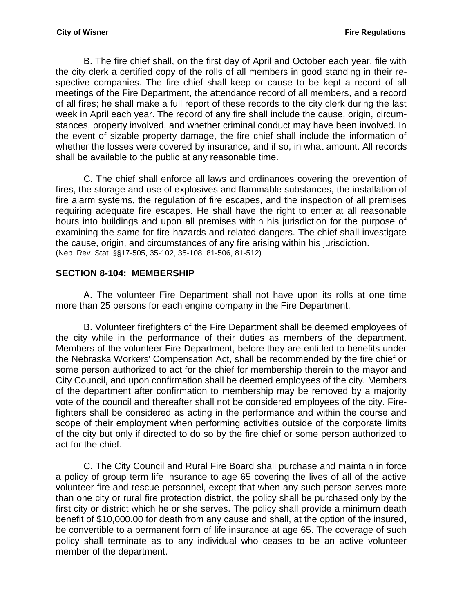B. The fire chief shall, on the first day of April and October each year, file with the city clerk a certified copy of the rolls of all members in good standing in their respective companies. The fire chief shall keep or cause to be kept a record of all meetings of the Fire Department, the attendance record of all members, and a record of all fires; he shall make a full report of these records to the city clerk during the last week in April each year. The record of any fire shall include the cause, origin, circumstances, property involved, and whether criminal conduct may have been involved. In the event of sizable property damage, the fire chief shall include the information of whether the losses were covered by insurance, and if so, in what amount. All records shall be available to the public at any reasonable time.

C. The chief shall enforce all laws and ordinances covering the prevention of fires, the storage and use of explosives and flammable substances, the installation of fire alarm systems, the regulation of fire escapes, and the inspection of all premises requiring adequate fire escapes. He shall have the right to enter at all reasonable hours into buildings and upon all premises within his jurisdiction for the purpose of examining the same for fire hazards and related dangers. The chief shall investigate the cause, origin, and circumstances of any fire arising within his jurisdiction. (Neb. Rev. Stat. §§17-505, 35-102, 35-108, 81-506, 81-512)

## <span id="page-3-0"></span>**SECTION 8-104: MEMBERSHIP**

A. The volunteer Fire Department shall not have upon its rolls at one time more than 25 persons for each engine company in the Fire Department.

B. Volunteer firefighters of the Fire Department shall be deemed employees of the city while in the performance of their duties as members of the department. Members of the volunteer Fire Department, before they are entitled to benefits under the Nebraska Workers' Compensation Act, shall be recommended by the fire chief or some person authorized to act for the chief for membership therein to the mayor and City Council, and upon confirmation shall be deemed employees of the city. Members of the department after confirmation to membership may be removed by a majority vote of the council and thereafter shall not be considered employees of the city. Firefighters shall be considered as acting in the performance and within the course and scope of their employment when performing activities outside of the corporate limits of the city but only if directed to do so by the fire chief or some person authorized to act for the chief.

C. The City Council and Rural Fire Board shall purchase and maintain in force a policy of group term life insurance to age 65 covering the lives of all of the active volunteer fire and rescue personnel, except that when any such person serves more than one city or rural fire protection district, the policy shall be purchased only by the first city or district which he or she serves. The policy shall provide a minimum death benefit of \$10,000.00 for death from any cause and shall, at the option of the insured, be convertible to a permanent form of life insurance at age 65. The coverage of such policy shall terminate as to any individual who ceases to be an active volunteer member of the department.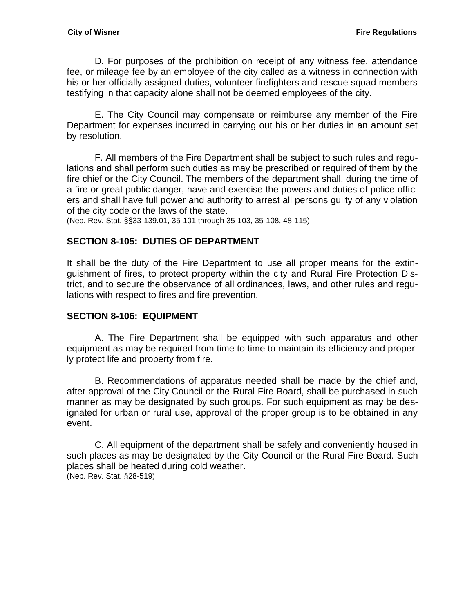D. For purposes of the prohibition on receipt of any witness fee, attendance fee, or mileage fee by an employee of the city called as a witness in connection with his or her officially assigned duties, volunteer firefighters and rescue squad members testifying in that capacity alone shall not be deemed employees of the city.

E. The City Council may compensate or reimburse any member of the Fire Department for expenses incurred in carrying out his or her duties in an amount set by resolution.

F. All members of the Fire Department shall be subject to such rules and regulations and shall perform such duties as may be prescribed or required of them by the fire chief or the City Council. The members of the department shall, during the time of a fire or great public danger, have and exercise the powers and duties of police officers and shall have full power and authority to arrest all persons guilty of any violation of the city code or the laws of the state.

(Neb. Rev. Stat. §§33-139.01, 35-101 through 35-103, 35-108, 48-115)

### <span id="page-4-0"></span>**SECTION 8-105: DUTIES OF DEPARTMENT**

It shall be the duty of the Fire Department to use all proper means for the extinguishment of fires, to protect property within the city and Rural Fire Protection District, and to secure the observance of all ordinances, laws, and other rules and regulations with respect to fires and fire prevention.

### <span id="page-4-1"></span>**SECTION 8-106: EQUIPMENT**

A. The Fire Department shall be equipped with such apparatus and other equipment as may be required from time to time to maintain its efficiency and properly protect life and property from fire.

B. Recommendations of apparatus needed shall be made by the chief and, after approval of the City Council or the Rural Fire Board, shall be purchased in such manner as may be designated by such groups. For such equipment as may be designated for urban or rural use, approval of the proper group is to be obtained in any event.

C. All equipment of the department shall be safely and conveniently housed in such places as may be designated by the City Council or the Rural Fire Board. Such places shall be heated during cold weather. (Neb. Rev. Stat. §28-519)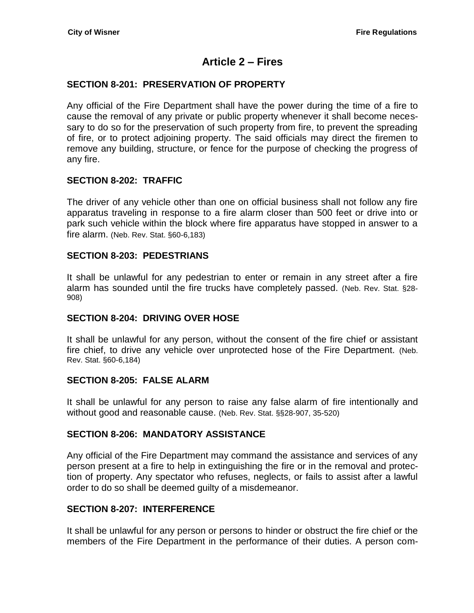# **Article 2 – Fires**

### <span id="page-6-1"></span><span id="page-6-0"></span>**SECTION 8-201: PRESERVATION OF PROPERTY**

Any official of the Fire Department shall have the power during the time of a fire to cause the removal of any private or public property whenever it shall become necessary to do so for the preservation of such property from fire, to prevent the spreading of fire, or to protect adjoining property. The said officials may direct the firemen to remove any building, structure, or fence for the purpose of checking the progress of any fire.

### <span id="page-6-2"></span>**SECTION 8-202: TRAFFIC**

The driver of any vehicle other than one on official business shall not follow any fire apparatus traveling in response to a fire alarm closer than 500 feet or drive into or park such vehicle within the block where fire apparatus have stopped in answer to a fire alarm. (Neb. Rev. Stat. §60-6,183)

#### <span id="page-6-3"></span>**SECTION 8-203: PEDESTRIANS**

It shall be unlawful for any pedestrian to enter or remain in any street after a fire alarm has sounded until the fire trucks have completely passed. (Neb. Rev. Stat. §28- 908)

### <span id="page-6-4"></span>**SECTION 8-204: DRIVING OVER HOSE**

It shall be unlawful for any person, without the consent of the fire chief or assistant fire chief, to drive any vehicle over unprotected hose of the Fire Department. (Neb. Rev. Stat. §60-6,184)

#### <span id="page-6-5"></span>**SECTION 8-205: FALSE ALARM**

It shall be unlawful for any person to raise any false alarm of fire intentionally and without good and reasonable cause. (Neb. Rev. Stat. §§28-907, 35-520)

### <span id="page-6-6"></span>**SECTION 8-206: MANDATORY ASSISTANCE**

Any official of the Fire Department may command the assistance and services of any person present at a fire to help in extinguishing the fire or in the removal and protection of property. Any spectator who refuses, neglects, or fails to assist after a lawful order to do so shall be deemed guilty of a misdemeanor.

### <span id="page-6-7"></span>**SECTION 8-207: INTERFERENCE**

It shall be unlawful for any person or persons to hinder or obstruct the fire chief or the members of the Fire Department in the performance of their duties. A person com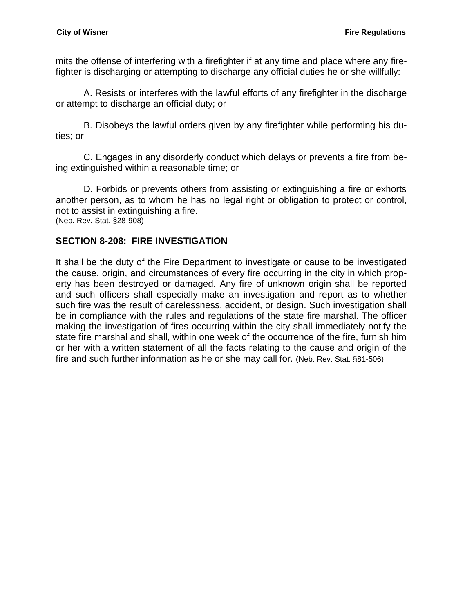mits the offense of interfering with a firefighter if at any time and place where any firefighter is discharging or attempting to discharge any official duties he or she willfully:

A. Resists or interferes with the lawful efforts of any firefighter in the discharge or attempt to discharge an official duty; or

B. Disobeys the lawful orders given by any firefighter while performing his duties; or

C. Engages in any disorderly conduct which delays or prevents a fire from being extinguished within a reasonable time; or

D. Forbids or prevents others from assisting or extinguishing a fire or exhorts another person, as to whom he has no legal right or obligation to protect or control, not to assist in extinguishing a fire. (Neb. Rev. Stat. §28-908)

## <span id="page-7-0"></span>**SECTION 8-208: FIRE INVESTIGATION**

It shall be the duty of the Fire Department to investigate or cause to be investigated the cause, origin, and circumstances of every fire occurring in the city in which property has been destroyed or damaged. Any fire of unknown origin shall be reported and such officers shall especially make an investigation and report as to whether such fire was the result of carelessness, accident, or design. Such investigation shall be in compliance with the rules and regulations of the state fire marshal. The officer making the investigation of fires occurring within the city shall immediately notify the state fire marshal and shall, within one week of the occurrence of the fire, furnish him or her with a written statement of all the facts relating to the cause and origin of the fire and such further information as he or she may call for. (Neb. Rev. Stat. §81-506)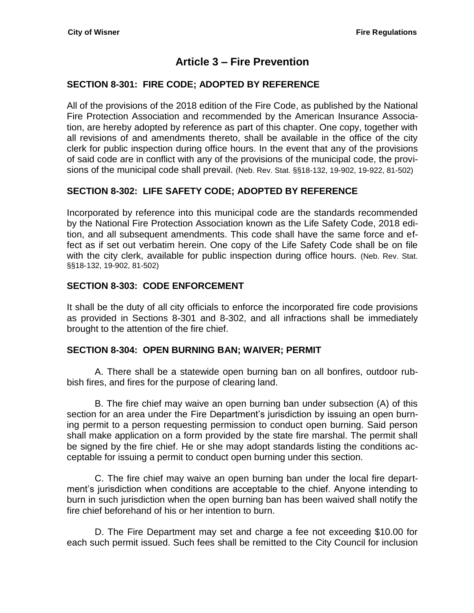# **Article 3 – Fire Prevention**

## <span id="page-8-1"></span><span id="page-8-0"></span>**SECTION 8-301: FIRE CODE; ADOPTED BY REFERENCE**

All of the provisions of the 2018 edition of the Fire Code, as published by the National Fire Protection Association and recommended by the American Insurance Association, are hereby adopted by reference as part of this chapter. One copy, together with all revisions of and amendments thereto, shall be available in the office of the city clerk for public inspection during office hours. In the event that any of the provisions of said code are in conflict with any of the provisions of the municipal code, the provisions of the municipal code shall prevail. (Neb. Rev. Stat. §§18-132, 19-902, 19-922, 81-502)

## <span id="page-8-2"></span>**SECTION 8-302: LIFE SAFETY CODE; ADOPTED BY REFERENCE**

Incorporated by reference into this municipal code are the standards recommended by the National Fire Protection Association known as the Life Safety Code, 2018 edition, and all subsequent amendments. This code shall have the same force and effect as if set out verbatim herein. One copy of the Life Safety Code shall be on file with the city clerk, available for public inspection during office hours. (Neb. Rev. Stat. §§18-132, 19-902, 81-502)

## <span id="page-8-3"></span>**SECTION 8-303: CODE ENFORCEMENT**

It shall be the duty of all city officials to enforce the incorporated fire code provisions as provided in Sections 8-301 and 8-302, and all infractions shall be immediately brought to the attention of the fire chief.

### <span id="page-8-4"></span>**SECTION 8-304: OPEN BURNING BAN; WAIVER; PERMIT**

A. There shall be a statewide open burning ban on all bonfires, outdoor rubbish fires, and fires for the purpose of clearing land.

B. The fire chief may waive an open burning ban under subsection (A) of this section for an area under the Fire Department's jurisdiction by issuing an open burning permit to a person requesting permission to conduct open burning. Said person shall make application on a form provided by the state fire marshal. The permit shall be signed by the fire chief. He or she may adopt standards listing the conditions acceptable for issuing a permit to conduct open burning under this section.

C. The fire chief may waive an open burning ban under the local fire department's jurisdiction when conditions are acceptable to the chief. Anyone intending to burn in such jurisdiction when the open burning ban has been waived shall notify the fire chief beforehand of his or her intention to burn.

D. The Fire Department may set and charge a fee not exceeding \$10.00 for each such permit issued. Such fees shall be remitted to the City Council for inclusion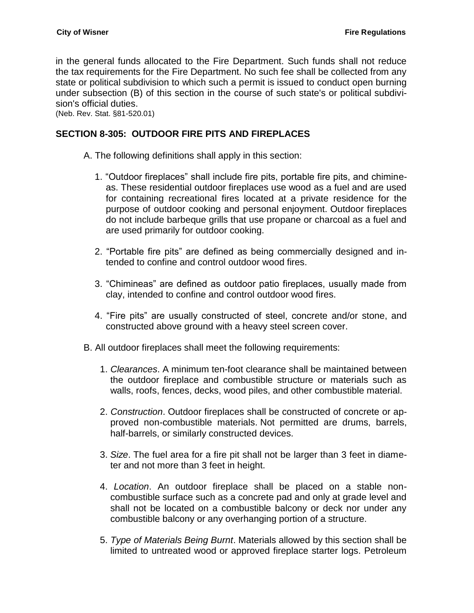in the general funds allocated to the Fire Department. Such funds shall not reduce the tax requirements for the Fire Department. No such fee shall be collected from any state or political subdivision to which such a permit is issued to conduct open burning under subsection (B) of this section in the course of such state's or political subdivision's official duties.

(Neb. Rev. Stat. §81-520.01)

### <span id="page-9-0"></span>**SECTION 8-305: OUTDOOR FIRE PITS AND FIREPLACES**

- A. The following definitions shall apply in this section:
	- 1. "Outdoor fireplaces" shall include fire pits, portable fire pits, and chimineas. These residential outdoor fireplaces use wood as a fuel and are used for containing recreational fires located at a private residence for the purpose of outdoor cooking and personal enjoyment. Outdoor fireplaces do not include barbeque grills that use propane or charcoal as a fuel and are used primarily for outdoor cooking.
	- 2. "Portable fire pits" are defined as being commercially designed and intended to confine and control outdoor wood fires.
	- 3. "Chimineas" are defined as outdoor patio fireplaces, usually made from clay, intended to confine and control outdoor wood fires.
	- 4. "Fire pits" are usually constructed of steel, concrete and/or stone, and constructed above ground with a heavy steel screen cover.
- B. All outdoor fireplaces shall meet the following requirements:
	- 1. *Clearances*. A minimum ten-foot clearance shall be maintained between the outdoor fireplace and combustible structure or materials such as walls, roofs, fences, decks, wood piles, and other combustible material.
	- 2. *Construction*. Outdoor fireplaces shall be constructed of concrete or approved non-combustible materials. Not permitted are drums, barrels, half-barrels, or similarly constructed devices.
	- 3. *Size*. The fuel area for a fire pit shall not be larger than 3 feet in diameter and not more than 3 feet in height.
	- 4. *Location*. An outdoor fireplace shall be placed on a stable noncombustible surface such as a concrete pad and only at grade level and shall not be located on a combustible balcony or deck nor under any combustible balcony or any overhanging portion of a structure.
	- 5. *Type of Materials Being Burnt*. Materials allowed by this section shall be limited to untreated wood or approved fireplace starter logs. Petroleum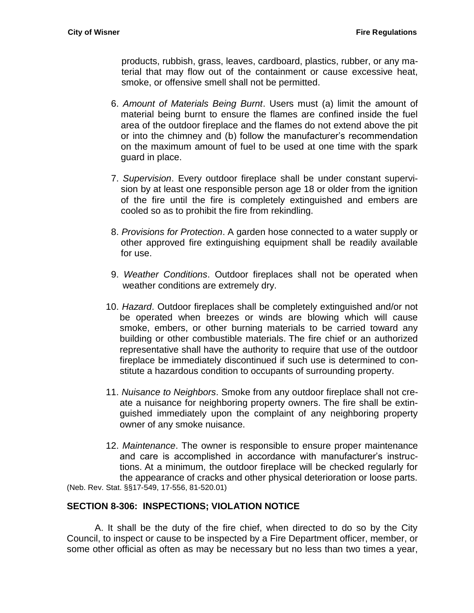products, rubbish, grass, leaves, cardboard, plastics, rubber, or any material that may flow out of the containment or cause excessive heat, smoke, or offensive smell shall not be permitted.

- 6. *Amount of Materials Being Burnt*. Users must (a) limit the amount of material being burnt to ensure the flames are confined inside the fuel area of the outdoor fireplace and the flames do not extend above the pit or into the chimney and (b) follow the manufacturer's recommendation on the maximum amount of fuel to be used at one time with the spark guard in place.
- 7. *Supervision*. Every outdoor fireplace shall be under constant supervision by at least one responsible person age 18 or older from the ignition of the fire until the fire is completely extinguished and embers are cooled so as to prohibit the fire from rekindling.
- 8. *Provisions for Protection*. A garden hose connected to a water supply or other approved fire extinguishing equipment shall be readily available for use.
- 9. *Weather Conditions*. Outdoor fireplaces shall not be operated when weather conditions are extremely dry.
- 10. *Hazard*. Outdoor fireplaces shall be completely extinguished and/or not be operated when breezes or winds are blowing which will cause smoke, embers, or other burning materials to be carried toward any building or other combustible materials. The fire chief or an authorized representative shall have the authority to require that use of the outdoor fireplace be immediately discontinued if such use is determined to constitute a hazardous condition to occupants of surrounding property.
- 11. *Nuisance to Neighbors*. Smoke from any outdoor fireplace shall not create a nuisance for neighboring property owners. The fire shall be extinguished immediately upon the complaint of any neighboring property owner of any smoke nuisance.
- 12. *Maintenance*. The owner is responsible to ensure proper maintenance and care is accomplished in accordance with manufacturer's instructions. At a minimum, the outdoor fireplace will be checked regularly for the appearance of cracks and other physical deterioration or loose parts. (Neb. Rev. Stat. §§17-549, 17-556, 81-520.01)

### <span id="page-10-0"></span>**SECTION 8-306: INSPECTIONS; VIOLATION NOTICE**

A. It shall be the duty of the fire chief, when directed to do so by the City Council, to inspect or cause to be inspected by a Fire Department officer, member, or some other official as often as may be necessary but no less than two times a year,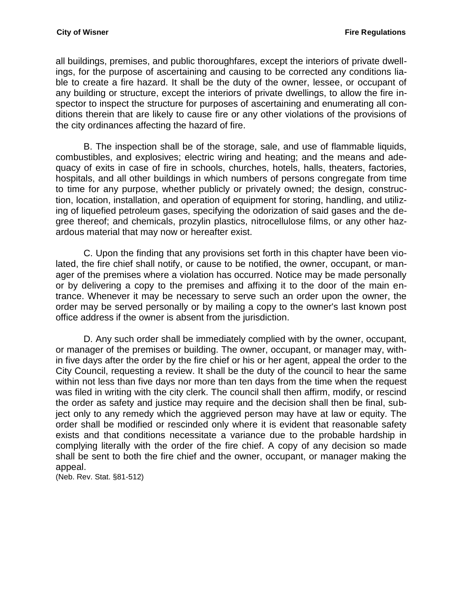all buildings, premises, and public thoroughfares, except the interiors of private dwellings, for the purpose of ascertaining and causing to be corrected any conditions liable to create a fire hazard. It shall be the duty of the owner, lessee, or occupant of any building or structure, except the interiors of private dwellings, to allow the fire inspector to inspect the structure for purposes of ascertaining and enumerating all conditions therein that are likely to cause fire or any other violations of the provisions of the city ordinances affecting the hazard of fire.

B. The inspection shall be of the storage, sale, and use of flammable liquids, combustibles, and explosives; electric wiring and heating; and the means and adequacy of exits in case of fire in schools, churches, hotels, halls, theaters, factories, hospitals, and all other buildings in which numbers of persons congregate from time to time for any purpose, whether publicly or privately owned; the design, construction, location, installation, and operation of equipment for storing, handling, and utilizing of liquefied petroleum gases, specifying the odorization of said gases and the degree thereof; and chemicals, prozylin plastics, nitrocellulose films, or any other hazardous material that may now or hereafter exist.

C. Upon the finding that any provisions set forth in this chapter have been violated, the fire chief shall notify, or cause to be notified, the owner, occupant, or manager of the premises where a violation has occurred. Notice may be made personally or by delivering a copy to the premises and affixing it to the door of the main entrance. Whenever it may be necessary to serve such an order upon the owner, the order may be served personally or by mailing a copy to the owner's last known post office address if the owner is absent from the jurisdiction.

D. Any such order shall be immediately complied with by the owner, occupant, or manager of the premises or building. The owner, occupant, or manager may, within five days after the order by the fire chief or his or her agent, appeal the order to the City Council, requesting a review. It shall be the duty of the council to hear the same within not less than five days nor more than ten days from the time when the request was filed in writing with the city clerk. The council shall then affirm, modify, or rescind the order as safety and justice may require and the decision shall then be final, subject only to any remedy which the aggrieved person may have at law or equity. The order shall be modified or rescinded only where it is evident that reasonable safety exists and that conditions necessitate a variance due to the probable hardship in complying literally with the order of the fire chief. A copy of any decision so made shall be sent to both the fire chief and the owner, occupant, or manager making the appeal.

(Neb. Rev. Stat. §81-512)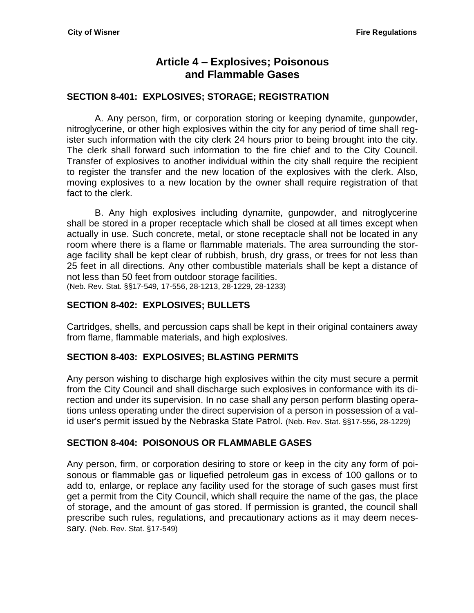# **Article 4 – Explosives; Poisonous and Flammable Gases**

### <span id="page-12-2"></span><span id="page-12-1"></span><span id="page-12-0"></span>**SECTION 8-401: EXPLOSIVES; STORAGE; REGISTRATION**

A. Any person, firm, or corporation storing or keeping dynamite, gunpowder, nitroglycerine, or other high explosives within the city for any period of time shall register such information with the city clerk 24 hours prior to being brought into the city. The clerk shall forward such information to the fire chief and to the City Council. Transfer of explosives to another individual within the city shall require the recipient to register the transfer and the new location of the explosives with the clerk. Also, moving explosives to a new location by the owner shall require registration of that fact to the clerk.

B. Any high explosives including dynamite, gunpowder, and nitroglycerine shall be stored in a proper receptacle which shall be closed at all times except when actually in use. Such concrete, metal, or stone receptacle shall not be located in any room where there is a flame or flammable materials. The area surrounding the storage facility shall be kept clear of rubbish, brush, dry grass, or trees for not less than 25 feet in all directions. Any other combustible materials shall be kept a distance of not less than 50 feet from outdoor storage facilities. (Neb. Rev. Stat. §§17-549, 17-556, 28-1213, 28-1229, 28-1233)

### <span id="page-12-3"></span>**SECTION 8-402: EXPLOSIVES; BULLETS**

Cartridges, shells, and percussion caps shall be kept in their original containers away from flame, flammable materials, and high explosives.

### <span id="page-12-4"></span>**SECTION 8-403: EXPLOSIVES; BLASTING PERMITS**

Any person wishing to discharge high explosives within the city must secure a permit from the City Council and shall discharge such explosives in conformance with its direction and under its supervision. In no case shall any person perform blasting operations unless operating under the direct supervision of a person in possession of a valid user's permit issued by the Nebraska State Patrol. (Neb. Rev. Stat. §§17-556, 28-1229)

### <span id="page-12-5"></span>**SECTION 8-404: POISONOUS OR FLAMMABLE GASES**

Any person, firm, or corporation desiring to store or keep in the city any form of poisonous or flammable gas or liquefied petroleum gas in excess of 100 gallons or to add to, enlarge, or replace any facility used for the storage of such gases must first get a permit from the City Council, which shall require the name of the gas, the place of storage, and the amount of gas stored. If permission is granted, the council shall prescribe such rules, regulations, and precautionary actions as it may deem necessary. (Neb. Rev. Stat. §17-549)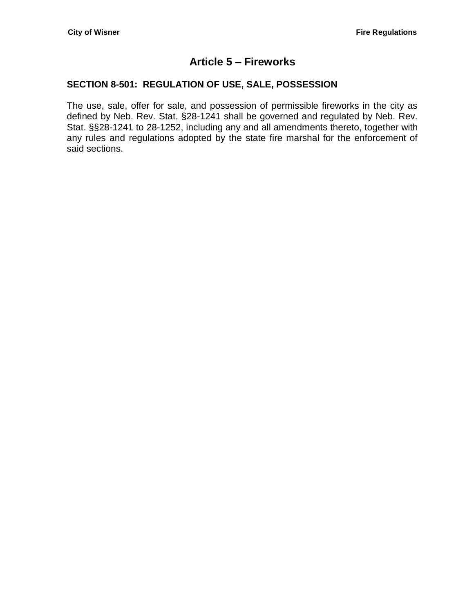# **Article 5 – Fireworks**

## <span id="page-14-1"></span><span id="page-14-0"></span>**SECTION 8-501: REGULATION OF USE, SALE, POSSESSION**

The use, sale, offer for sale, and possession of permissible fireworks in the city as defined by Neb. Rev. Stat. §28-1241 shall be governed and regulated by Neb. Rev. Stat. §§28-1241 to 28-1252, including any and all amendments thereto, together with any rules and regulations adopted by the state fire marshal for the enforcement of said sections.